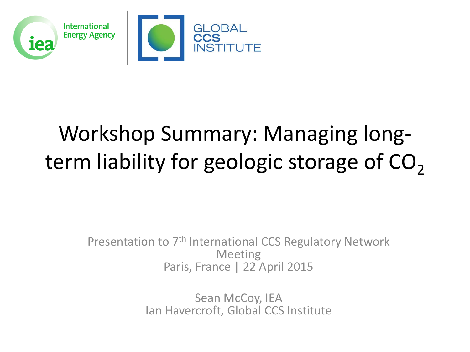

# Workshop Summary: Managing longterm liability for geologic storage of  $CO<sub>2</sub>$

Presentation to 7<sup>th</sup> International CCS Regulatory Network Meeting Paris, France | 22 April 2015

> Sean McCoy, IEA Ian Havercroft, Global CCS Institute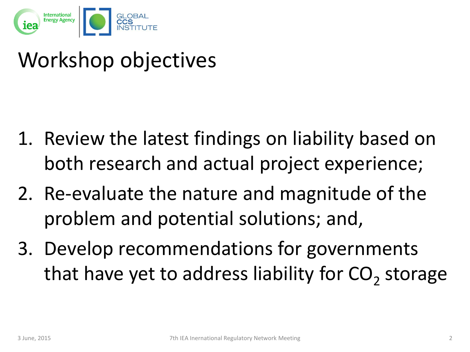

### Workshop objectives

- 1. Review the latest findings on liability based on both research and actual project experience;
- 2. Re-evaluate the nature and magnitude of the problem and potential solutions; and,
- 3. Develop recommendations for governments that have yet to address liability for  $\text{CO}_2$  storage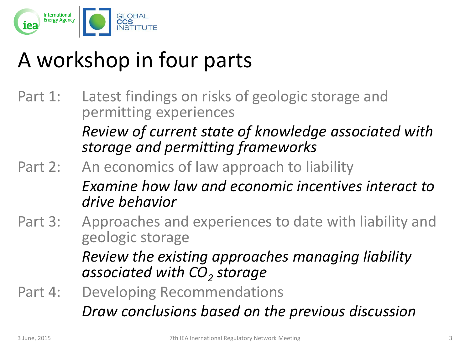

## A workshop in four parts

Part 1: Latest findings on risks of geologic storage and permitting experiences

*Review of current state of knowledge associated with storage and permitting frameworks*

- Part 2: An economics of law approach to liability *Examine how law and economic incentives interact to drive behavior*
- Part 3: Approaches and experiences to date with liability and geologic storage

*Review the existing approaches managing liability associated with CO<sup>2</sup> storage*

Part 4: Developing Recommendations *Draw conclusions based on the previous discussion*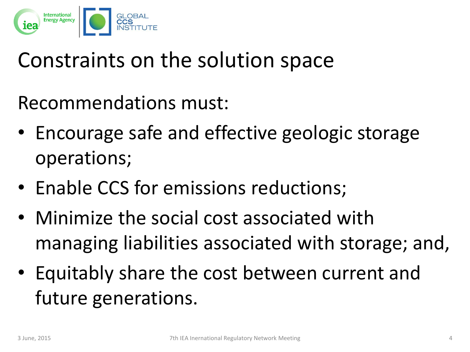

#### Constraints on the solution space

Recommendations must:

- Encourage safe and effective geologic storage operations;
- Enable CCS for emissions reductions;
- Minimize the social cost associated with managing liabilities associated with storage; and,
- Equitably share the cost between current and future generations.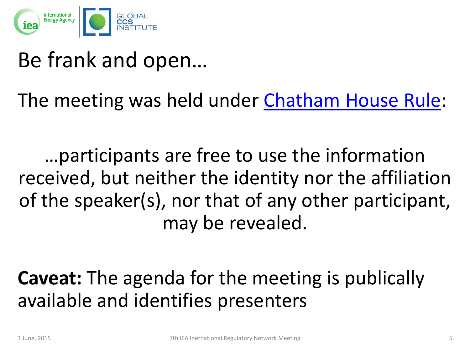

#### Be frank and open…

The meeting was held under [Chatham House Rule:](http://www.chathamhouse.org/about/chatham-house-rule)

…participants are free to use the information received, but neither the identity nor the affiliation of the speaker(s), nor that of any other participant, may be revealed.

**Caveat:** The agenda for the meeting is publically available and identifies presenters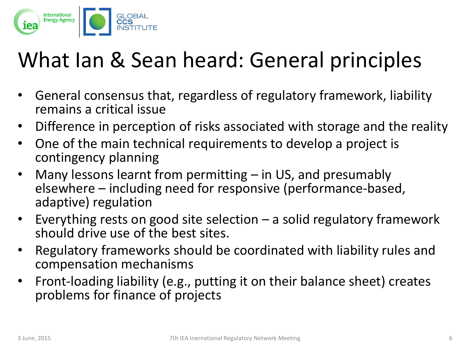

## What Ian & Sean heard: General principles

- General consensus that, regardless of regulatory framework, liability remains a critical issue
- Difference in perception of risks associated with storage and the reality
- One of the main technical requirements to develop a project is contingency planning
- Many lessons learnt from permitting  $-$  in US, and presumably elsewhere – including need for responsive (performance-based, adaptive) regulation
- Everything rests on good site selection  $-$  a solid regulatory framework should drive use of the best sites.
- Regulatory frameworks should be coordinated with liability rules and compensation mechanisms
- Front-loading liability (e.g., putting it on their balance sheet) creates problems for finance of projects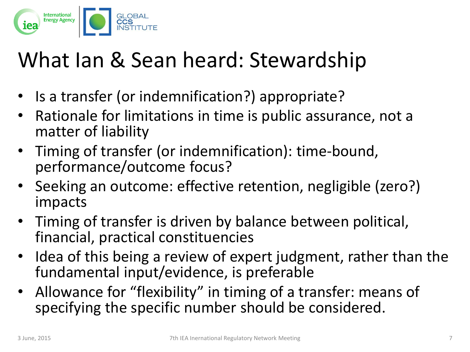

### What Ian & Sean heard: Stewardship

- Is a transfer (or indemnification?) appropriate?
- Rationale for limitations in time is public assurance, not a matter of liability
- Timing of transfer (or indemnification): time-bound, performance/outcome focus?
- Seeking an outcome: effective retention, negligible (zero?) impacts
- Timing of transfer is driven by balance between political, financial, practical constituencies
- Idea of this being a review of expert judgment, rather than the fundamental input/evidence, is preferable
- Allowance for "flexibility" in timing of a transfer: means of specifying the specific number should be considered.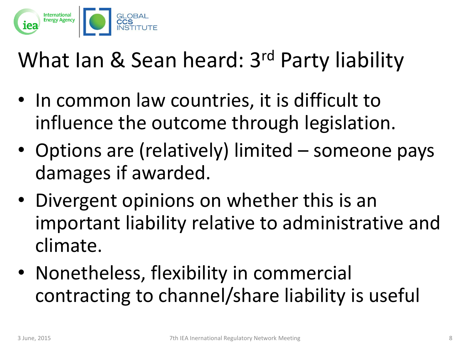

### What Ian & Sean heard: 3<sup>rd</sup> Party liability

- In common law countries, it is difficult to influence the outcome through legislation.
- Options are (relatively) limited someone pays damages if awarded.
- Divergent opinions on whether this is an important liability relative to administrative and climate.
- Nonetheless, flexibility in commercial contracting to channel/share liability is useful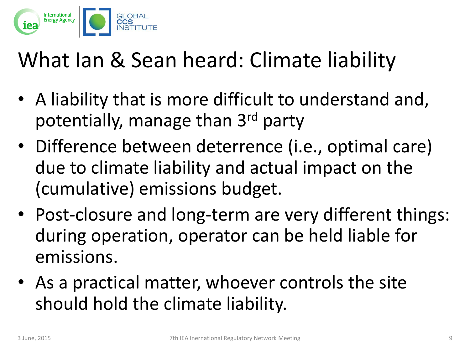

### What Ian & Sean heard: Climate liability

- A liability that is more difficult to understand and, potentially, manage than 3<sup>rd</sup> party
- Difference between deterrence (i.e., optimal care) due to climate liability and actual impact on the (cumulative) emissions budget.
- Post-closure and long-term are very different things: during operation, operator can be held liable for emissions.
- As a practical matter, whoever controls the site should hold the climate liability.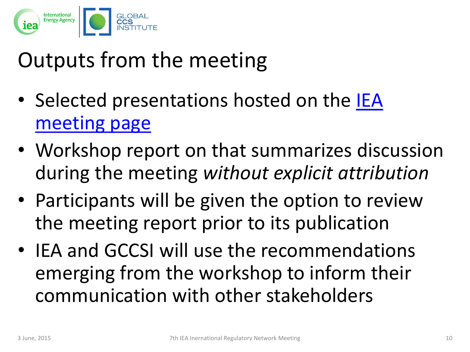

# Outputs from the meeting

- Selected presentations hosted on the IEA [meeting page](http://www.iea.org/workshop/managing-long-term-liability-for-geologic-storage-of-co2.html)
- Workshop report on that summarizes discussion during the meeting *without explicit attribution*
- Participants will be given the option to review the meeting report prior to its publication
- IEA and GCCSI will use the recommendations emerging from the workshop to inform their communication with other stakeholders